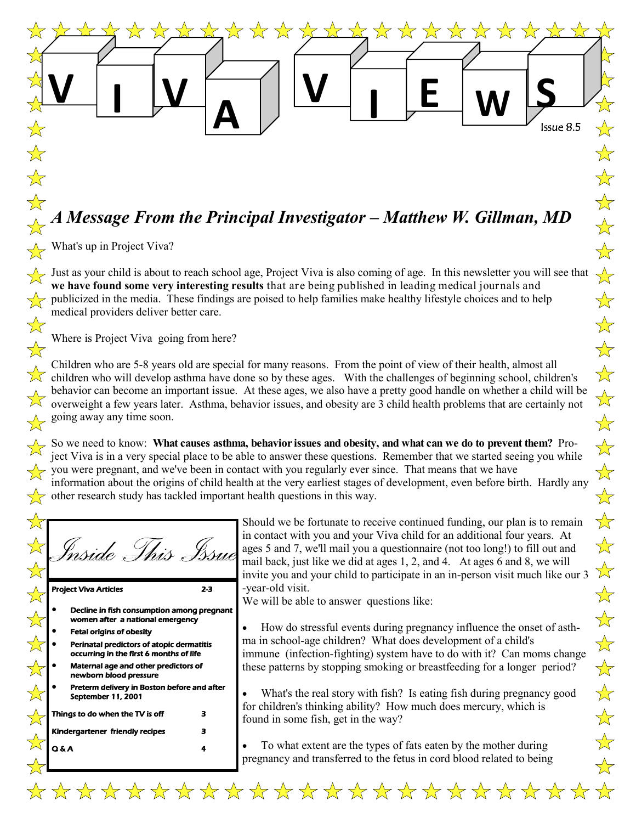Issue 8.5

**E W S**

\*\*\*\*\*

# *A Message From the Principal Investigator – Matthew W. Gillman, MD*

\*\*\*

 $\frac{1}{\sqrt{2}}$ 

 $\frac{1}{2}$ 

 $\sum$ 

 $\blacksquare$   $\blacksquare$   $\blacksquare$   $\blacksquare$   $\blacksquare$ 

**A**

What's up in Project Viva?

**V**

 $\overline{\mathbf{r}}$ 

7.7

 $\sum_{i=1}^{n}$ 

 $\frac{1}{\sqrt{2}}$ 

 $\frac{1}{2}$ 

Just as your child is about to reach school age, Project Viva is also coming of age. In this newsletter you will see that **we have found some very interesting results** that are being published in leading medical journals and publicized in the media. These findings are poised to help families make healthy lifestyle choices and to help medical providers deliver better care.

Where is Project Viva going from here?

Children who are 5-8 years old are special for many reasons. From the point of view of their health, almost all children who will develop asthma have done so by these ages. With the challenges of beginning school, children's behavior can become an important issue. At these ages, we also have a pretty good handle on whether a child will be overweight a few years later. Asthma, behavior issues, and obesity are 3 child health problems that are certainly not going away any time soon.

So we need to know: **What causes asthma, behavior issues and obesity, and what can we do to prevent them?** Project Viva is in a very special place to be able to answer these questions. Remember that we started seeing you while you were pregnant, and we've been in contact with you regularly ever since. That means that we have information about the origins of child health at the very earliest stages of development, even before birth. Hardly any other research study has tackled important health questions in this way.

|  |  | nside This | TS U |
|--|--|------------|------|
|  |  |            |      |

Project Viva Articles 2-3

- Decline in fish consumption among pregnant women after a national emergency
- Fetal origins of obesity
- Perinatal predictors of atopic dermatitis occurring in the first 6 months of life
- Maternal age and other predictors of newborn blood pressure
- Preterm delivery in Boston before and after September 11, 2001

| Things to do when the TV is off        |  |  |  |
|----------------------------------------|--|--|--|
| <b>Kindergartener friendly recipes</b> |  |  |  |
| IAA                                    |  |  |  |

Should we be fortunate to receive continued funding, our plan is to remain in contact with you and your Viva child for an additional four years. At ages 5 and 7, we'll mail you a questionnaire (not too long!) to fill out and mail back, just like we did at ages 1, 2, and 4. At ages 6 and 8, we will invite you and your child to participate in an in-person visit much like our 3 -year-old visit.

We will be able to answer questions like:

\*\*\*\*\*\*\*\*\*\*\*\*\*\*\*\*\*\*\*\*

 How do stressful events during pregnancy influence the onset of asthma in school-age children? What does development of a child's immune (infection-fighting) system have to do with it? Can moms change these patterns by stopping smoking or breastfeeding for a longer period?

 What's the real story with fish? Is eating fish during pregnancy good for children's thinking ability? How much does mercury, which is found in some fish, get in the way?

 To what extent are the types of fats eaten by the mother during pregnancy and transferred to the fetus in cord blood related to being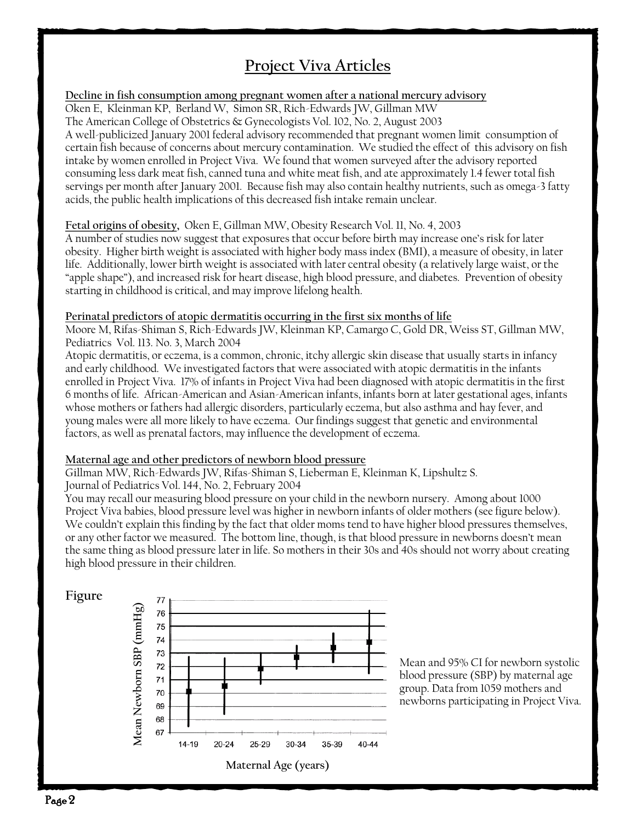## **Project Viva Articles**

#### **Decline in fish consumption among pregnant women after a national mercury advisory**

Oken E, Kleinman KP, Berland W, Simon SR, Rich-Edwards JW, Gillman MW The American College of Obstetrics & Gynecologists Vol. 102, No. 2, August 2003 A well-publicized January 2001 federal advisory recommended that pregnant women limit consumption of certain fish because of concerns about mercury contamination. We studied the effect of this advisory on fish intake by women enrolled in Project Viva. We found that women surveyed after the advisory reported consuming less dark meat fish, canned tuna and white meat fish, and ate approximately 1.4 fewer total fish servings per month after January 2001. Because fish may also contain healthy nutrients, such as omega-3 fatty acids, the public health implications of this decreased fish intake remain unclear.

#### **Fetal origins of obesity,** Oken E, Gillman MW, Obesity Research Vol. 11, No. 4, 2003

A number of studies now suggest that exposures that occur before birth may increase one's risk for later obesity. Higher birth weight is associated with higher body mass index (BMI), a measure of obesity, in later life. Additionally, lower birth weight is associated with later central obesity (a relatively large waist, or the "apple shape"), and increased risk for heart disease, high blood pressure, and diabetes. Prevention of obesity starting in childhood is critical, and may improve lifelong health.

#### **Perinatal predictors of atopic dermatitis occurring in the first six months of life**

Moore M, Rifas-Shiman S, Rich-Edwards JW, Kleinman KP, Camargo C, Gold DR, Weiss ST, Gillman MW, Pediatrics Vol. 113. No. 3, March 2004

Atopic dermatitis, or eczema, is a common, chronic, itchy allergic skin disease that usually starts in infancy and early childhood. We investigated factors that were associated with atopic dermatitis in the infants enrolled in Project Viva. 17% of infants in Project Viva had been diagnosed with atopic dermatitis in the first 6 months of life. African-American and Asian-American infants, infants born at later gestational ages, infants whose mothers or fathers had allergic disorders, particularly eczema, but also asthma and hay fever, and young males were all more likely to have eczema. Our findings suggest that genetic and environmental factors, as well as prenatal factors, may influence the development of eczema.

#### **Maternal age and other predictors of newborn blood pressure**

Gillman MW, Rich-Edwards JW, Rifas-Shiman S, Lieberman E, Kleinman K, Lipshultz S. Journal of Pediatrics Vol. 144, No. 2, February 2004

You may recall our measuring blood pressure on your child in the newborn nursery. Among about 1000 Project Viva babies, blood pressure level was higher in newborn infants of older mothers (see figure below). We couldn't explain this finding by the fact that older moms tend to have higher blood pressures themselves, or any other factor we measured. The bottom line, though, is that blood pressure in newborns doesn't mean the same thing as blood pressure later in life. So mothers in their 30s and 40s should not worry about creating high blood pressure in their children.

#### **Figure**



Mean and 95% CI for newborn systolic blood pressure (SBP) by maternal age group. Data from 1059 mothers and newborns participating in Project Viva.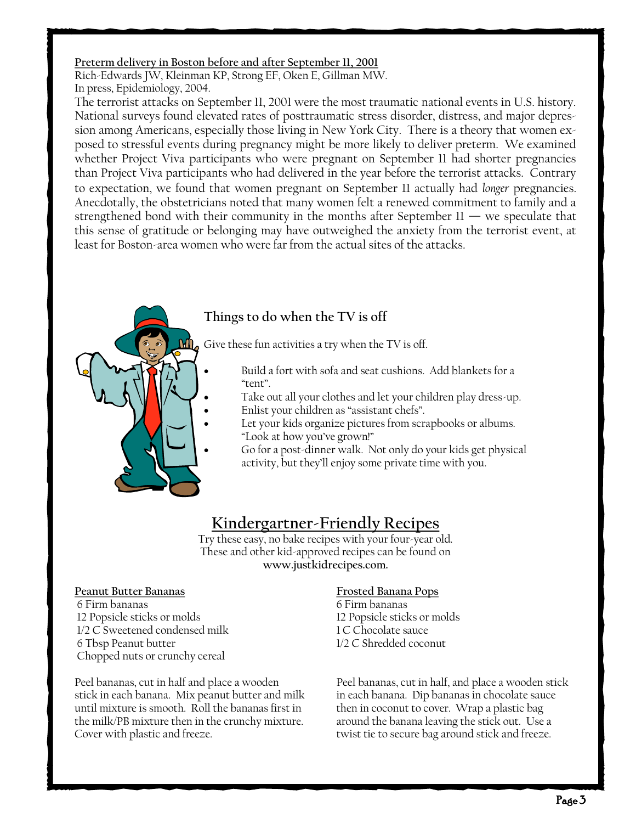#### **Preterm delivery in Boston before and after September 11, 2001**

Rich-Edwards JW, Kleinman KP, Strong EF, Oken E, Gillman MW. In press, Epidemiology, 2004.

The terrorist attacks on September 11, 2001 were the most traumatic national events in U.S. history. National surveys found elevated rates of posttraumatic stress disorder, distress, and major depression among Americans, especially those living in New York City. There is a theory that women exposed to stressful events during pregnancy might be more likely to deliver preterm. We examined whether Project Viva participants who were pregnant on September 11 had shorter pregnancies than Project Viva participants who had delivered in the year before the terrorist attacks. Contrary to expectation, we found that women pregnant on September 11 actually had *longer* pregnancies. Anecdotally, the obstetricians noted that many women felt a renewed commitment to family and a strengthened bond with their community in the months after September  $11$  — we speculate that this sense of gratitude or belonging may have outweighed the anxiety from the terrorist event, at least for Boston-area women who were far from the actual sites of the attacks.



### **Things to do when the TV is off**

Give these fun activities a try when the TV is off.

- Build a fort with sofa and seat cushions. Add blankets for a "tent".
	- Take out all your clothes and let your children play dress-up.
- Enlist your children as "assistant chefs".
- Let your kids organize pictures from scrapbooks or albums. "Look at how you've grown!"
- Go for a post-dinner walk. Not only do your kids get physical activity, but they'll enjoy some private time with you.

## **Kindergartner-Friendly Recipes**

Try these easy, no bake recipes with your four-year old. These and other kid-approved recipes can be found on **www.justkidrecipes.com.**

#### **Peanut Butter Bananas Frosted Banana Pops**

6 Firm bananas 6 Firm bananas 12 Popsicle sticks or molds 12 Popsicle sticks or molds 1/2 C Sweetened condensed milk 1 C Chocolate sauce 6 Tbsp Peanut butter 1/2 C Shredded coconut Chopped nuts or crunchy cereal

stick in each banana. Mix peanut butter and milk in each banana. Dip bananas in chocolate sauce until mixture is smooth. Roll the bananas first in then in coconut to cover. Wrap a plastic bag the milk/PB mixture then in the crunchy mixture. around the banana leaving the stick out. Use a Cover with plastic and freeze. The secure bag around stick and freeze.

Peel bananas, cut in half and place a wooden Peel bananas, cut in half, and place a wooden stick